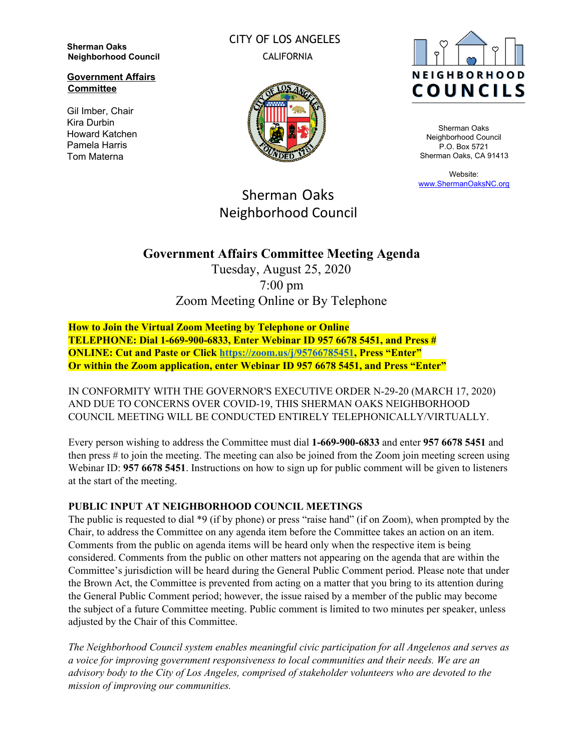**Sherman Oaks Neighborhood Council**

**Government Affairs Committee**

Gil Imber, Chair Kira Durbin Howard Katchen Pamela Harris Tom Materna

CITY OF LOS ANGELES CALIFORNIA





Sherman Oaks Neighborhood Council P.O. Box 5721 Sherman Oaks, CA 91413

Website: [www.ShermanOaksNC.org](http://www.shermanoaksnc.org/)

# Sherman Oaks Neighborhood Council

## **Government Affairs Committee Meeting Agenda**

Tuesday, August 25, 2020 7:00 pm Zoom Meeting Online or By Telephone

**How to Join the Virtual Zoom Meeting by Telephone or Online TELEPHONE: Dial 1-669-900-6833, Enter Webinar ID 957 6678 5451, and Press # ONLINE: Cut and Paste or Click [https://zoom.us/j/95766785451,](https://zoom.us/j/95766785451) Press "Enter" Or within the Zoom application, enter Webinar ID 957 6678 5451, and Press "Enter"**

IN CONFORMITY WITH THE GOVERNOR'S EXECUTIVE ORDER N-29-20 (MARCH 17, 2020) AND DUE TO CONCERNS OVER COVID-19, THIS SHERMAN OAKS NEIGHBORHOOD COUNCIL MEETING WILL BE CONDUCTED ENTIRELY TELEPHONICALLY/VIRTUALLY.

Every person wishing to address the Committee must dial **1-669-900-6833** and enter **957 6678 5451** and then press # to join the meeting. The meeting can also be joined from the Zoom join meeting screen using Webinar ID: **957 6678 5451**. Instructions on how to sign up for public comment will be given to listeners at the start of the meeting.

#### **PUBLIC INPUT AT NEIGHBORHOOD COUNCIL MEETINGS**

The public is requested to dial \*9 (if by phone) or press "raise hand" (if on Zoom), when prompted by the Chair, to address the Committee on any agenda item before the Committee takes an action on an item. Comments from the public on agenda items will be heard only when the respective item is being considered. Comments from the public on other matters not appearing on the agenda that are within the Committee's jurisdiction will be heard during the General Public Comment period. Please note that under the Brown Act, the Committee is prevented from acting on a matter that you bring to its attention during the General Public Comment period; however, the issue raised by a member of the public may become the subject of a future Committee meeting. Public comment is limited to two minutes per speaker, unless adjusted by the Chair of this Committee.

*The Neighborhood Council system enables meaningful civic participation for all Angelenos and serves as a voice for improving government responsiveness to local communities and their needs. We are an advisory body to the City of Los Angeles, comprised of stakeholder volunteers who are devoted to the mission of improving our communities.*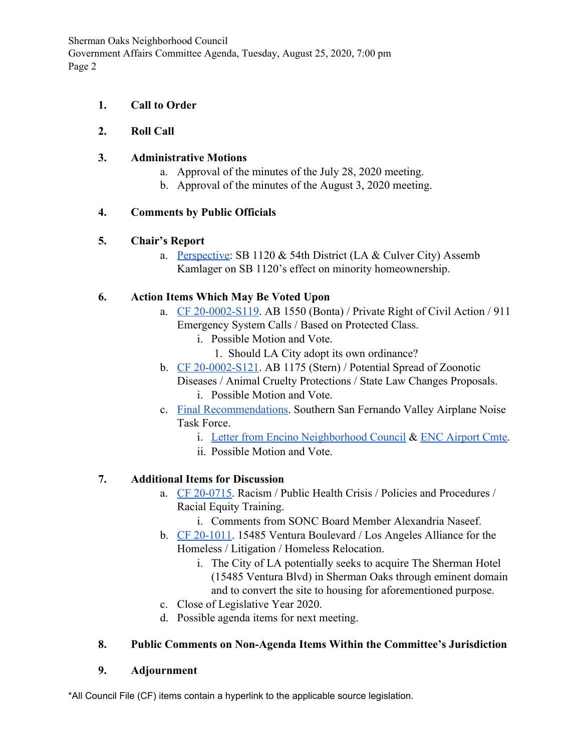Sherman Oaks Neighborhood Council Government Affairs Committee Agenda, Tuesday, August 25, 2020, 7:00 pm Page 2

#### **1. Call to Order**

### **2. Roll Call**

#### **3. Administrative Motions**

- a. Approval of the minutes of the July 28, 2020 meeting.
- b. Approval of the minutes of the August 3, 2020 meeting.

### **4. Comments by Public Officials**

### **5. Chair's Report**

a. [Perspective](https://youtu.be/6z_lVd6oo7I): SB 1120 & 54th District (LA & Culver City) Assemb Kamlager on SB 1120's effect on minority homeownership.

### **6. Action Items Which May Be Voted Upon**

- a. [CF 20-0002-S119](https://cityclerk.lacity.org/lacityclerkconnect/index.cfm?fa=ccfi.viewrecord&cfnumber=20-0002-S119). AB 1550 (Bonta) / Private Right of Civil Action / 911 Emergency System Calls / Based on Protected Class.
	- i. Possible Motion and Vote.
		- 1. Should LA City adopt its own ordinance?
- b. [CF 20-0002-S121](https://cityclerk.lacity.org/lacityclerkconnect/index.cfm?fa=ccfi.viewrecord&cfnumber=20-0002-S121). AB 1175 (Stern) / Potential Spread of Zoonotic Diseases / Animal Cruelty Protections / State Law Changes Proposals.
	- i. Possible Motion and Vote.
- c. [Final Recommendations.](http://hollywoodburbankairport.com/wp-content/uploads/2020/06/AmmendedTaskForceMemberRecommendations_Final_-06082020.pdf) Southern San Fernando Valley Airplane Noise Task Force.
	- i. [Letter from Encino Neighborhood Council](https://www.scribd.com/document/473297637/Recommendations-sent-to-the-FAA-from-the-Task-Force-pdf) & [ENC Airport Cmte.](https://www.encinonc.org/docs/34483397-5669.pdf)
	- ii. Possible Motion and Vote.

### **7. Additional Items for Discussion**

- a. [CF 20-0715](https://cityclerk.lacity.org/lacityclerkconnect/index.cfm?fa=ccfi.viewrecord&cfnumber=20-0715). Racism / Public Health Crisis / Policies and Procedures / Racial Equity Training.
	- i. Comments from SONC Board Member Alexandria Naseef.
- b. [CF 20-1011](https://cityclerk.lacity.org/lacityclerkconnect/index.cfm?fa=ccfi.viewrecord&cfnumber=20-1011). 15485 Ventura Boulevard / Los Angeles Alliance for the Homeless / Litigation / Homeless Relocation.
	- i. The City of LA potentially seeks to acquire The Sherman Hotel (15485 Ventura Blvd) in Sherman Oaks through eminent domain and to convert the site to housing for aforementioned purpose.
- c. Close of Legislative Year 2020.
- d. Possible agenda items for next meeting.

### **8. Public Comments on Non-Agenda Items Within the Committee's Jurisdiction**

#### **9. Adjournment**

\*All Council File (CF) items contain a hyperlink to the applicable source legislation.